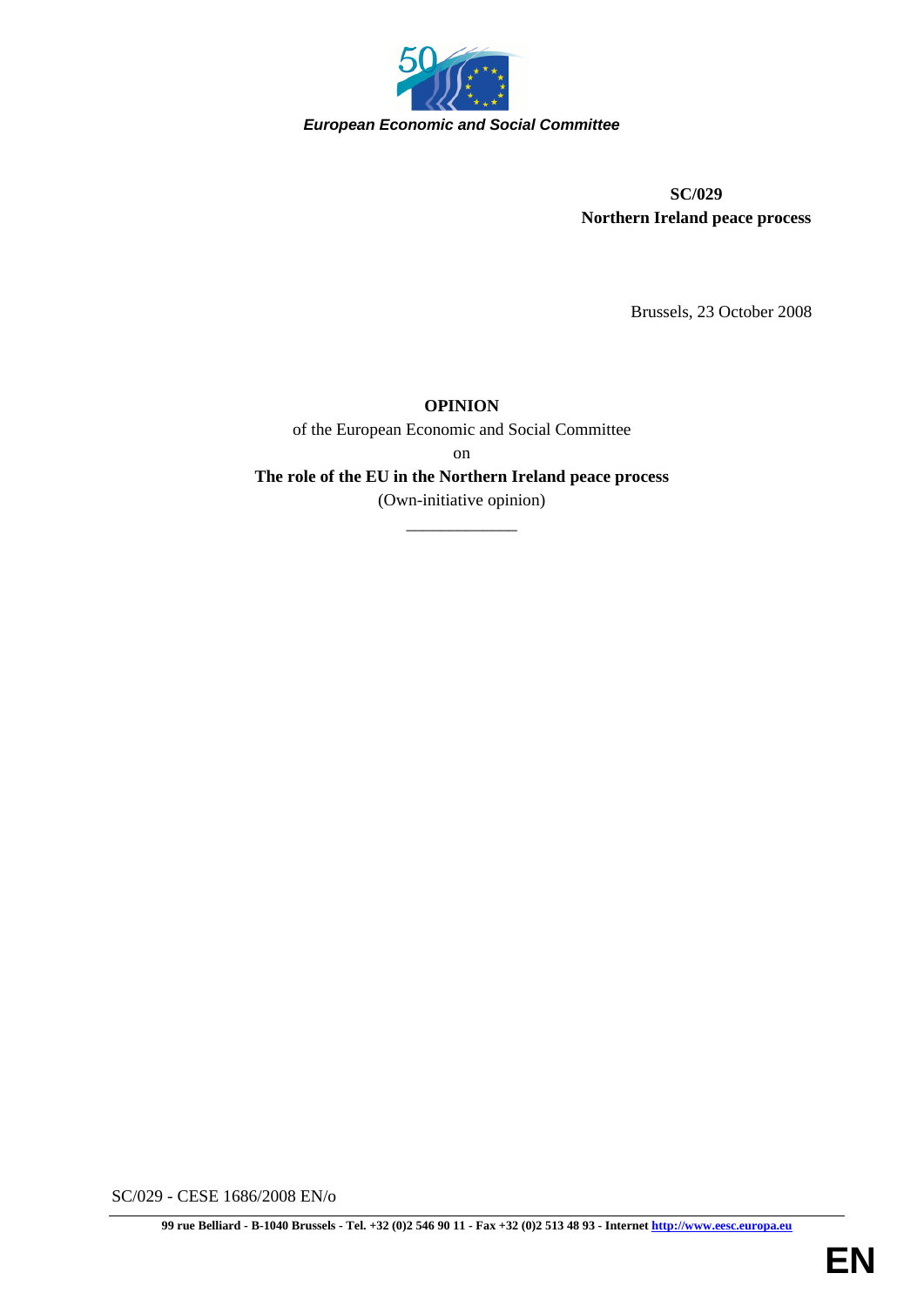

**SC/029 Northern Ireland peace process** 

Brussels, 23 October 2008

# **OPINION**

of the European Economic and Social Committee

on

**The role of the EU in the Northern Ireland peace process** 

(Own-initiative opinion) \_\_\_\_\_\_\_\_\_\_\_\_\_

SC/029 - CESE 1686/2008 EN/o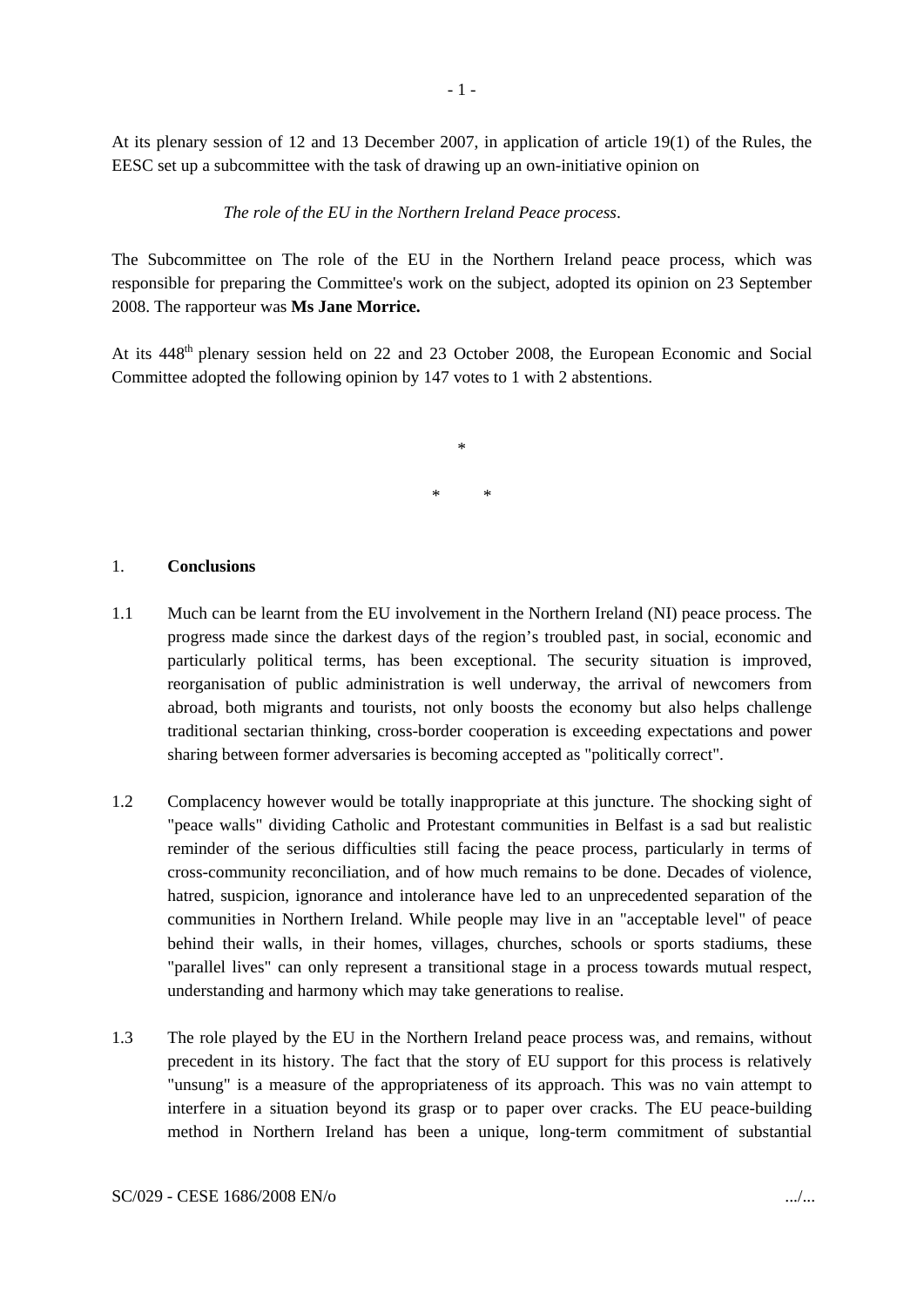At its plenary session of 12 and 13 December 2007, in application of article 19(1) of the Rules, the EESC set up a subcommittee with the task of drawing up an own-initiative opinion on

*The role of the EU in the Northern Ireland Peace process*.

The Subcommittee on The role of the EU in the Northern Ireland peace process, which was responsible for preparing the Committee's work on the subject, adopted its opinion on 23 September 2008. The rapporteur was **Ms Jane Morrice.**

At its 448<sup>th</sup> plenary session held on 22 and 23 October 2008, the European Economic and Social Committee adopted the following opinion by 147 votes to 1 with 2 abstentions.

\* \*

\*

#### 1. **Conclusions**

- 1.1 Much can be learnt from the EU involvement in the Northern Ireland (NI) peace process. The progress made since the darkest days of the region's troubled past, in social, economic and particularly political terms, has been exceptional. The security situation is improved, reorganisation of public administration is well underway, the arrival of newcomers from abroad, both migrants and tourists, not only boosts the economy but also helps challenge traditional sectarian thinking, cross-border cooperation is exceeding expectations and power sharing between former adversaries is becoming accepted as "politically correct".
- 1.2 Complacency however would be totally inappropriate at this juncture. The shocking sight of "peace walls" dividing Catholic and Protestant communities in Belfast is a sad but realistic reminder of the serious difficulties still facing the peace process, particularly in terms of cross-community reconciliation, and of how much remains to be done. Decades of violence, hatred, suspicion, ignorance and intolerance have led to an unprecedented separation of the communities in Northern Ireland. While people may live in an "acceptable level" of peace behind their walls, in their homes, villages, churches, schools or sports stadiums, these "parallel lives" can only represent a transitional stage in a process towards mutual respect, understanding and harmony which may take generations to realise.
- 1.3 The role played by the EU in the Northern Ireland peace process was, and remains, without precedent in its history. The fact that the story of EU support for this process is relatively "unsung" is a measure of the appropriateness of its approach. This was no vain attempt to interfere in a situation beyond its grasp or to paper over cracks. The EU peace-building method in Northern Ireland has been a unique, long-term commitment of substantial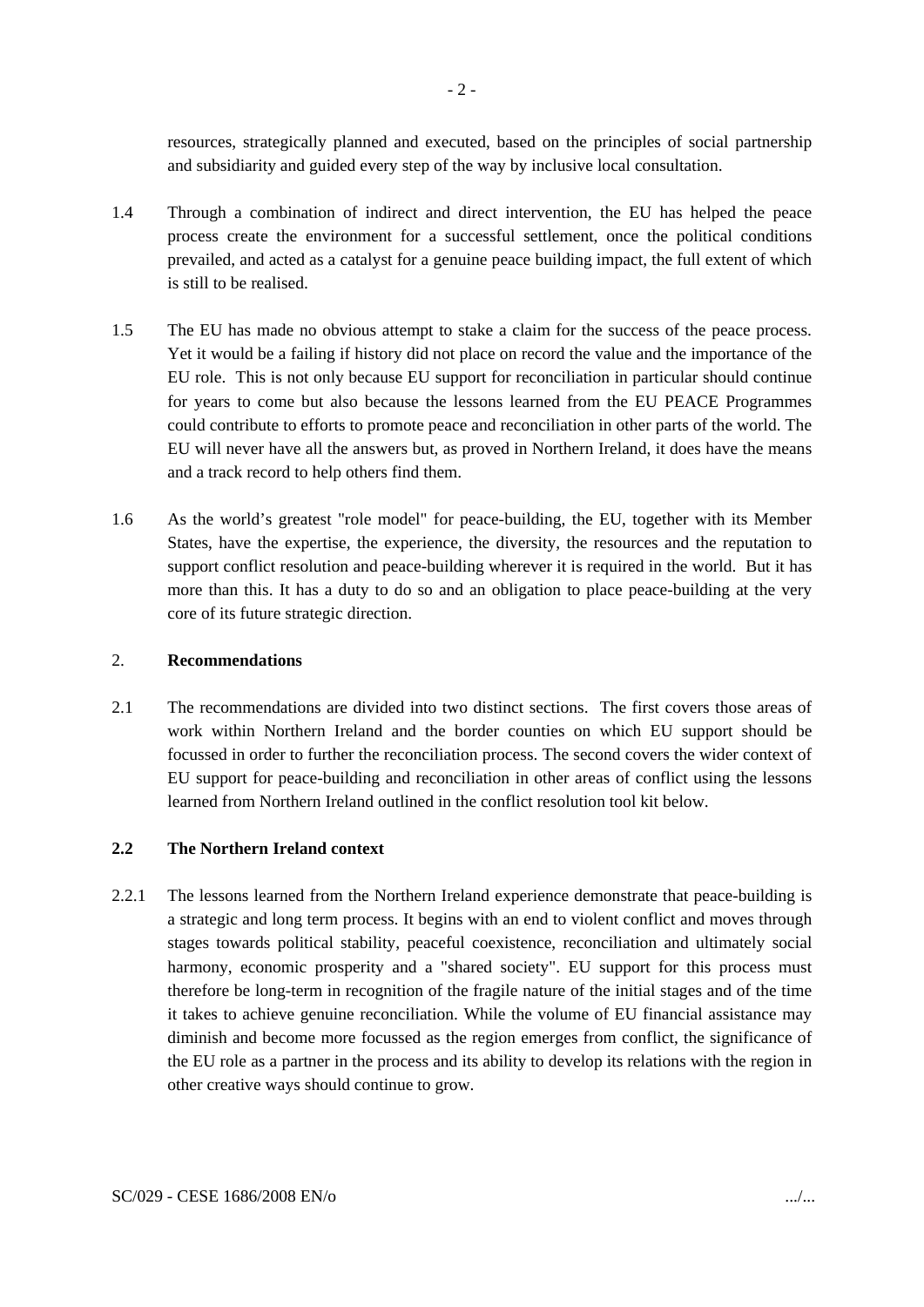resources, strategically planned and executed, based on the principles of social partnership and subsidiarity and guided every step of the way by inclusive local consultation.

- 1.4 Through a combination of indirect and direct intervention, the EU has helped the peace process create the environment for a successful settlement, once the political conditions prevailed, and acted as a catalyst for a genuine peace building impact, the full extent of which is still to be realised.
- 1.5 The EU has made no obvious attempt to stake a claim for the success of the peace process. Yet it would be a failing if history did not place on record the value and the importance of the EU role. This is not only because EU support for reconciliation in particular should continue for years to come but also because the lessons learned from the EU PEACE Programmes could contribute to efforts to promote peace and reconciliation in other parts of the world. The EU will never have all the answers but, as proved in Northern Ireland, it does have the means and a track record to help others find them.
- 1.6 As the world's greatest "role model" for peace-building, the EU, together with its Member States, have the expertise, the experience, the diversity, the resources and the reputation to support conflict resolution and peace-building wherever it is required in the world. But it has more than this. It has a duty to do so and an obligation to place peace-building at the very core of its future strategic direction.

### 2. **Recommendations**

2.1 The recommendations are divided into two distinct sections. The first covers those areas of work within Northern Ireland and the border counties on which EU support should be focussed in order to further the reconciliation process. The second covers the wider context of EU support for peace-building and reconciliation in other areas of conflict using the lessons learned from Northern Ireland outlined in the conflict resolution tool kit below.

## **2.2 The Northern Ireland context**

2.2.1 The lessons learned from the Northern Ireland experience demonstrate that peace-building is a strategic and long term process. It begins with an end to violent conflict and moves through stages towards political stability, peaceful coexistence, reconciliation and ultimately social harmony, economic prosperity and a "shared society". EU support for this process must therefore be long-term in recognition of the fragile nature of the initial stages and of the time it takes to achieve genuine reconciliation. While the volume of EU financial assistance may diminish and become more focussed as the region emerges from conflict, the significance of the EU role as a partner in the process and its ability to develop its relations with the region in other creative ways should continue to grow.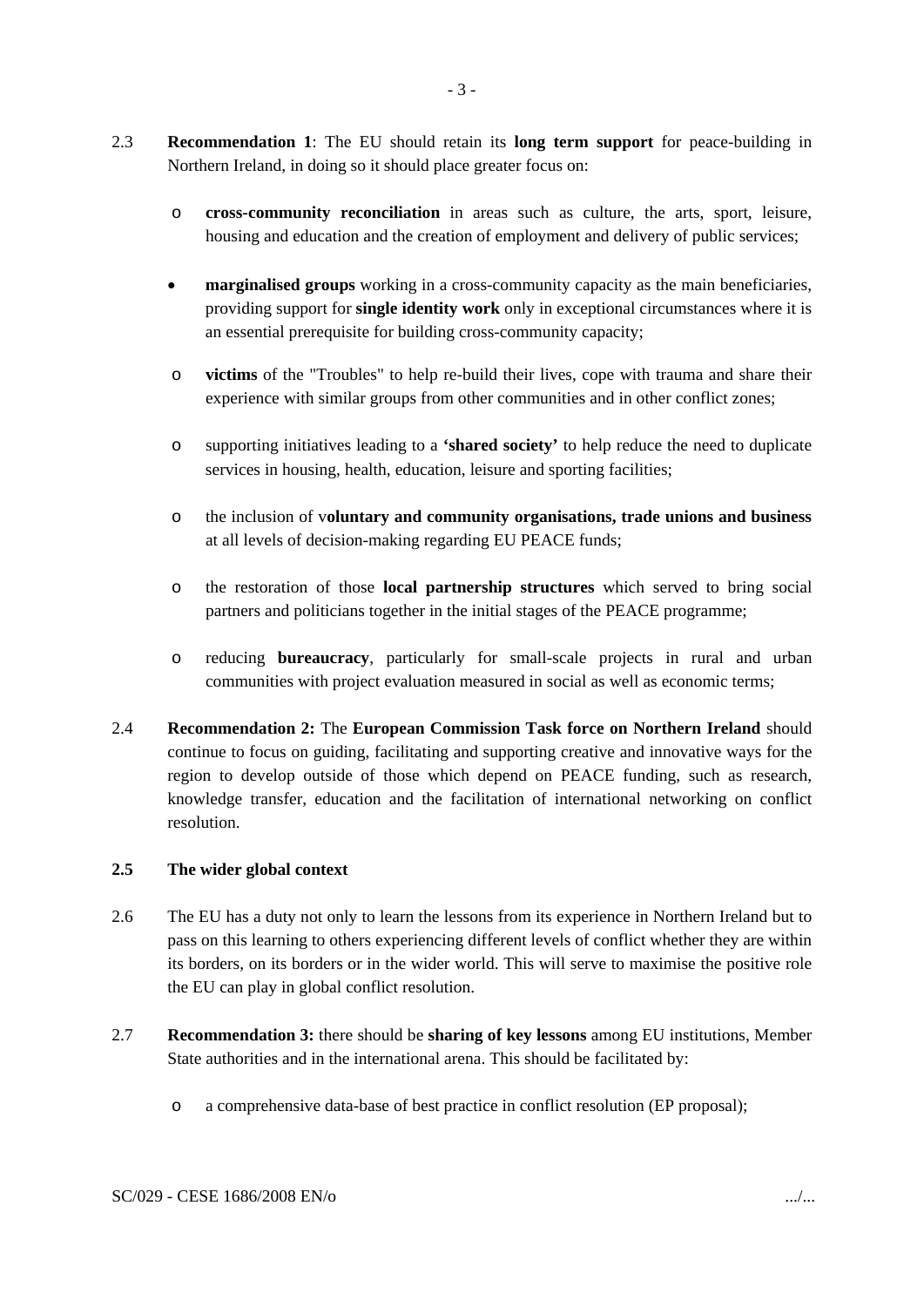- 2.3 **Recommendation 1**: The EU should retain its **long term support** for peace-building in Northern Ireland, in doing so it should place greater focus on:
	- o **cross-community reconciliation** in areas such as culture, the arts, sport, leisure, housing and education and the creation of employment and delivery of public services;
	- **marginalised groups** working in a cross-community capacity as the main beneficiaries, providing support for **single identity work** only in exceptional circumstances where it is an essential prerequisite for building cross-community capacity;
	- o **victims** of the "Troubles" to help re-build their lives, cope with trauma and share their experience with similar groups from other communities and in other conflict zones;
	- o supporting initiatives leading to a **'shared society'** to help reduce the need to duplicate services in housing, health, education, leisure and sporting facilities;
	- o the inclusion of v**oluntary and community organisations, trade unions and business** at all levels of decision-making regarding EU PEACE funds;
	- o the restoration of those **local partnership structures** which served to bring social partners and politicians together in the initial stages of the PEACE programme;
	- o reducing **bureaucracy**, particularly for small-scale projects in rural and urban communities with project evaluation measured in social as well as economic terms;
- 2.4 **Recommendation 2:** The **European Commission Task force on Northern Ireland** should continue to focus on guiding, facilitating and supporting creative and innovative ways for the region to develop outside of those which depend on PEACE funding, such as research, knowledge transfer, education and the facilitation of international networking on conflict resolution.

### **2.5 The wider global context**

- 2.6 The EU has a duty not only to learn the lessons from its experience in Northern Ireland but to pass on this learning to others experiencing different levels of conflict whether they are within its borders, on its borders or in the wider world. This will serve to maximise the positive role the EU can play in global conflict resolution.
- 2.7 **Recommendation 3:** there should be **sharing of key lessons** among EU institutions, Member State authorities and in the international arena. This should be facilitated by:
	- o a comprehensive data-base of best practice in conflict resolution (EP proposal);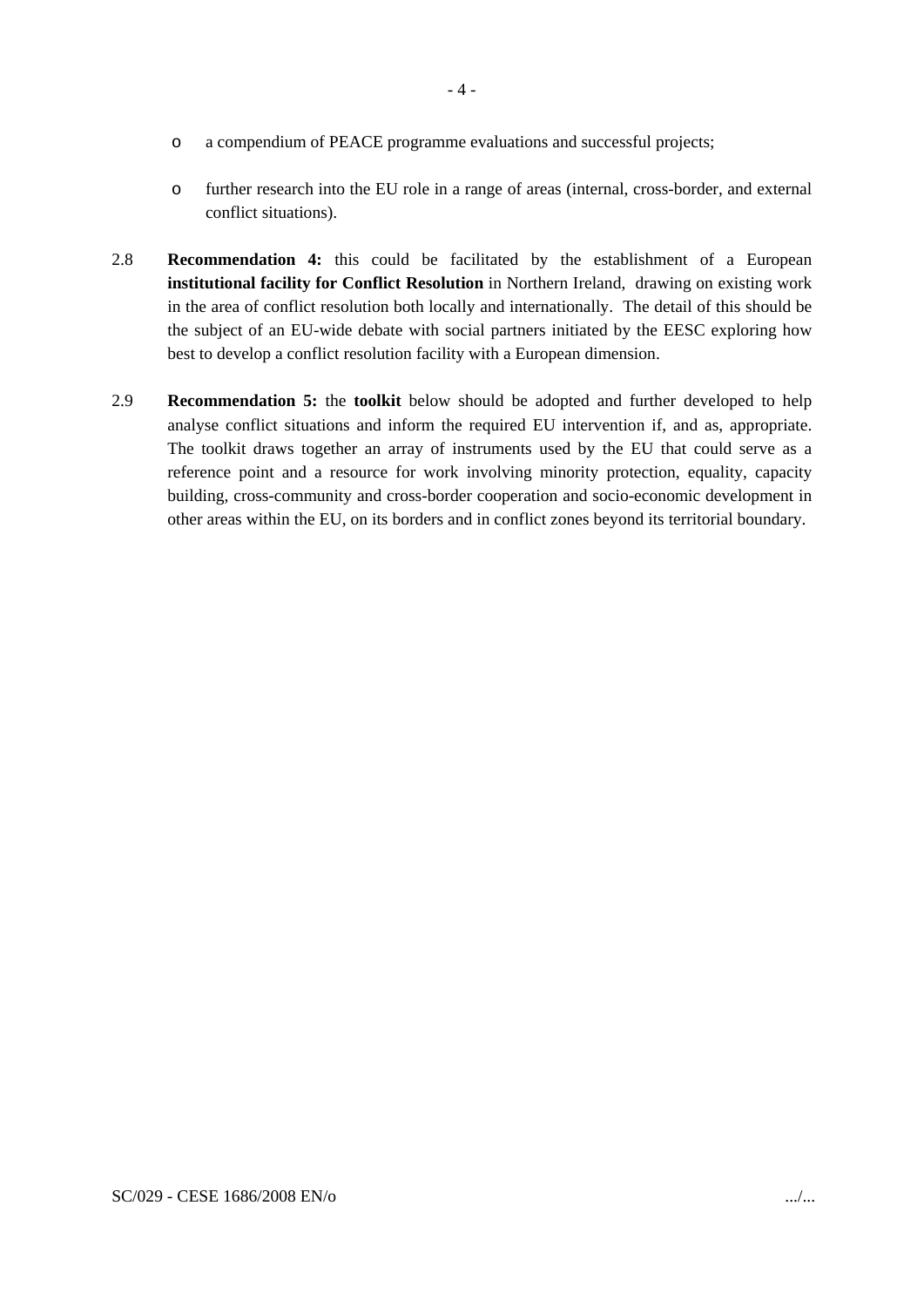- o a compendium of PEACE programme evaluations and successful projects;
- o further research into the EU role in a range of areas (internal, cross-border, and external conflict situations).
- 2.8 **Recommendation 4:** this could be facilitated by the establishment of a European **institutional facility for Conflict Resolution** in Northern Ireland, drawing on existing work in the area of conflict resolution both locally and internationally. The detail of this should be the subject of an EU-wide debate with social partners initiated by the EESC exploring how best to develop a conflict resolution facility with a European dimension.
- 2.9 **Recommendation 5:** the **toolkit** below should be adopted and further developed to help analyse conflict situations and inform the required EU intervention if, and as, appropriate. The toolkit draws together an array of instruments used by the EU that could serve as a reference point and a resource for work involving minority protection, equality, capacity building, cross-community and cross-border cooperation and socio-economic development in other areas within the EU, on its borders and in conflict zones beyond its territorial boundary.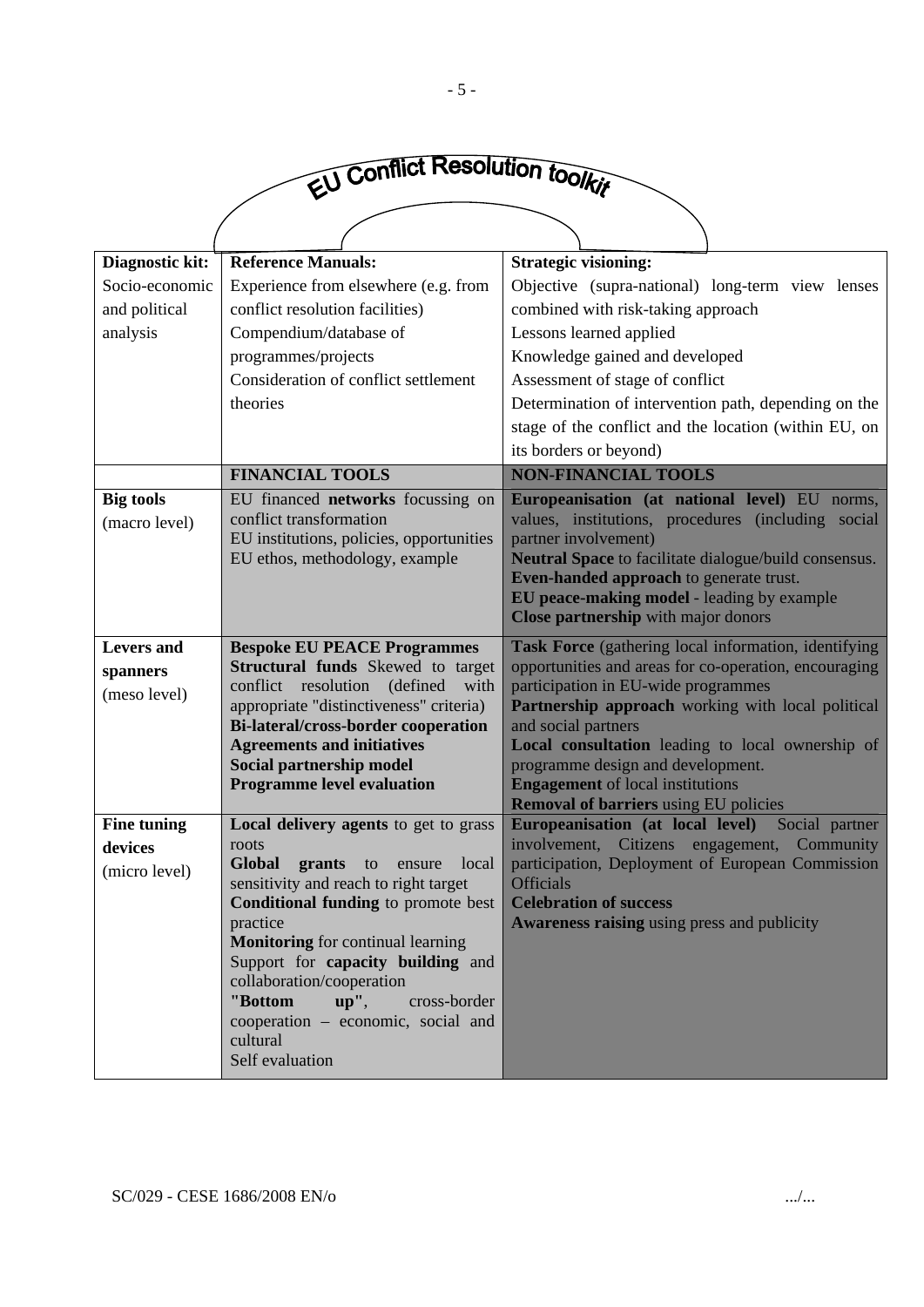

| Diagnostic kit:          | <b>Reference Manuals:</b>                                                     | <b>Strategic visioning:</b>                                                                             |
|--------------------------|-------------------------------------------------------------------------------|---------------------------------------------------------------------------------------------------------|
| Socio-economic           | Experience from elsewhere (e.g. from                                          | Objective (supra-national) long-term view lenses                                                        |
| and political            | conflict resolution facilities)                                               | combined with risk-taking approach                                                                      |
| analysis                 | Compendium/database of                                                        | Lessons learned applied                                                                                 |
|                          | programmes/projects                                                           | Knowledge gained and developed                                                                          |
|                          | Consideration of conflict settlement                                          | Assessment of stage of conflict                                                                         |
|                          | theories                                                                      | Determination of intervention path, depending on the                                                    |
|                          |                                                                               | stage of the conflict and the location (within EU, on                                                   |
|                          |                                                                               | its borders or beyond)                                                                                  |
|                          | <b>FINANCIAL TOOLS</b>                                                        | <b>NON-FINANCIAL TOOLS</b>                                                                              |
| <b>Big tools</b>         | EU financed networks focussing on                                             | Europeanisation (at national level) EU norms,                                                           |
| (macro level)            | conflict transformation                                                       | values, institutions, procedures (including social                                                      |
|                          | EU institutions, policies, opportunities                                      | partner involvement)                                                                                    |
|                          | EU ethos, methodology, example                                                | Neutral Space to facilitate dialogue/build consensus.<br><b>Even-handed approach to generate trust.</b> |
|                          |                                                                               | EU peace-making model - leading by example                                                              |
|                          |                                                                               | Close partnership with major donors                                                                     |
| <b>Levers</b> and        | <b>Bespoke EU PEACE Programmes</b>                                            | Task Force (gathering local information, identifying                                                    |
|                          | <b>Structural funds</b> Skewed to target                                      | opportunities and areas for co-operation, encouraging                                                   |
| spanners<br>(meso level) | conflict resolution (defined with                                             | participation in EU-wide programmes                                                                     |
|                          | appropriate "distinctiveness" criteria)                                       | Partnership approach working with local political                                                       |
|                          | <b>Bi-lateral/cross-border cooperation</b>                                    | and social partners                                                                                     |
|                          | <b>Agreements and initiatives</b>                                             | Local consultation leading to local ownership of                                                        |
|                          | Social partnership model                                                      | programme design and development.                                                                       |
|                          | <b>Programme level evaluation</b>                                             | <b>Engagement</b> of local institutions<br><b>Removal of barriers using EU policies</b>                 |
| <b>Fine tuning</b>       | Local delivery agents to get to grass                                         | Europeanisation (at local level)<br>Social partner                                                      |
| devices                  | roots                                                                         | involvement, Citizens engagement,<br>Community                                                          |
| (micro level)            | <b>Global</b><br>grants<br>local<br>to<br>ensure                              | participation, Deployment of European Commission                                                        |
|                          | sensitivity and reach to right target                                         | <b>Officials</b>                                                                                        |
|                          | Conditional funding to promote best                                           | <b>Celebration of success</b>                                                                           |
|                          | practice                                                                      | Awareness raising using press and publicity                                                             |
|                          | <b>Monitoring</b> for continual learning<br>Support for capacity building and |                                                                                                         |
|                          | collaboration/cooperation                                                     |                                                                                                         |
|                          | "Bottom<br>$up''$ ,<br>cross-border                                           |                                                                                                         |
|                          | cooperation – economic, social and                                            |                                                                                                         |
|                          | cultural                                                                      |                                                                                                         |
|                          | Self evaluation                                                               |                                                                                                         |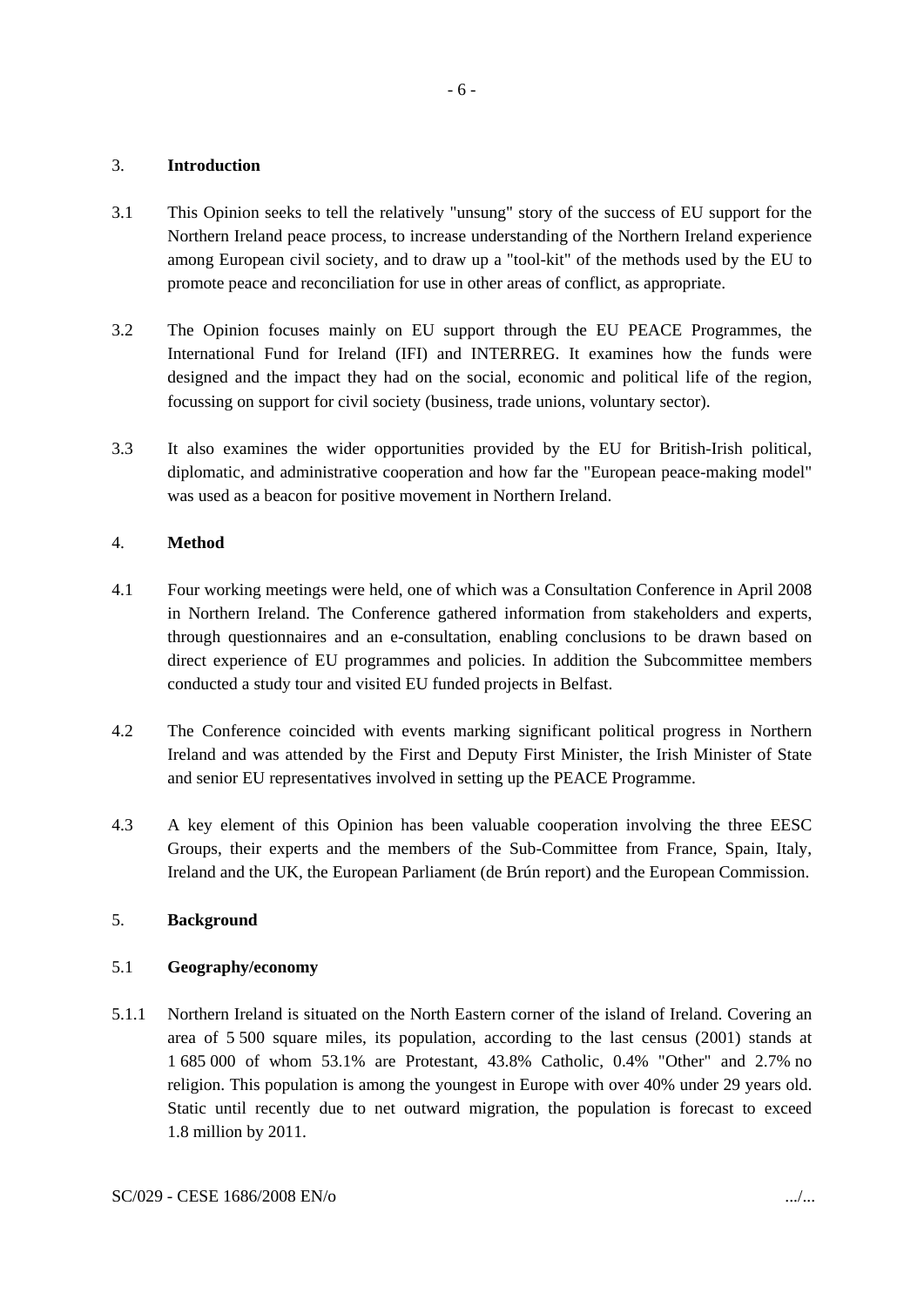### 3. **Introduction**

- 3.1 This Opinion seeks to tell the relatively "unsung" story of the success of EU support for the Northern Ireland peace process, to increase understanding of the Northern Ireland experience among European civil society, and to draw up a "tool-kit" of the methods used by the EU to promote peace and reconciliation for use in other areas of conflict, as appropriate.
- 3.2 The Opinion focuses mainly on EU support through the EU PEACE Programmes, the International Fund for Ireland (IFI) and INTERREG. It examines how the funds were designed and the impact they had on the social, economic and political life of the region, focussing on support for civil society (business, trade unions, voluntary sector).
- 3.3 It also examines the wider opportunities provided by the EU for British-Irish political, diplomatic, and administrative cooperation and how far the "European peace-making model" was used as a beacon for positive movement in Northern Ireland.

## 4. **Method**

- 4.1 Four working meetings were held, one of which was a Consultation Conference in April 2008 in Northern Ireland. The Conference gathered information from stakeholders and experts, through questionnaires and an e-consultation, enabling conclusions to be drawn based on direct experience of EU programmes and policies. In addition the Subcommittee members conducted a study tour and visited EU funded projects in Belfast.
- 4.2 The Conference coincided with events marking significant political progress in Northern Ireland and was attended by the First and Deputy First Minister, the Irish Minister of State and senior EU representatives involved in setting up the PEACE Programme.
- 4.3 A key element of this Opinion has been valuable cooperation involving the three EESC Groups, their experts and the members of the Sub-Committee from France, Spain, Italy, Ireland and the UK, the European Parliament (de Brún report) and the European Commission.

### 5. **Background**

### 5.1 **Geography/economy**

5.1.1 Northern Ireland is situated on the North Eastern corner of the island of Ireland. Covering an area of 5 500 square miles, its population, according to the last census (2001) stands at 1 685 000 of whom 53.1% are Protestant, 43.8% Catholic, 0.4% "Other" and 2.7% no religion. This population is among the youngest in Europe with over 40% under 29 years old. Static until recently due to net outward migration, the population is forecast to exceed 1.8 million by 2011.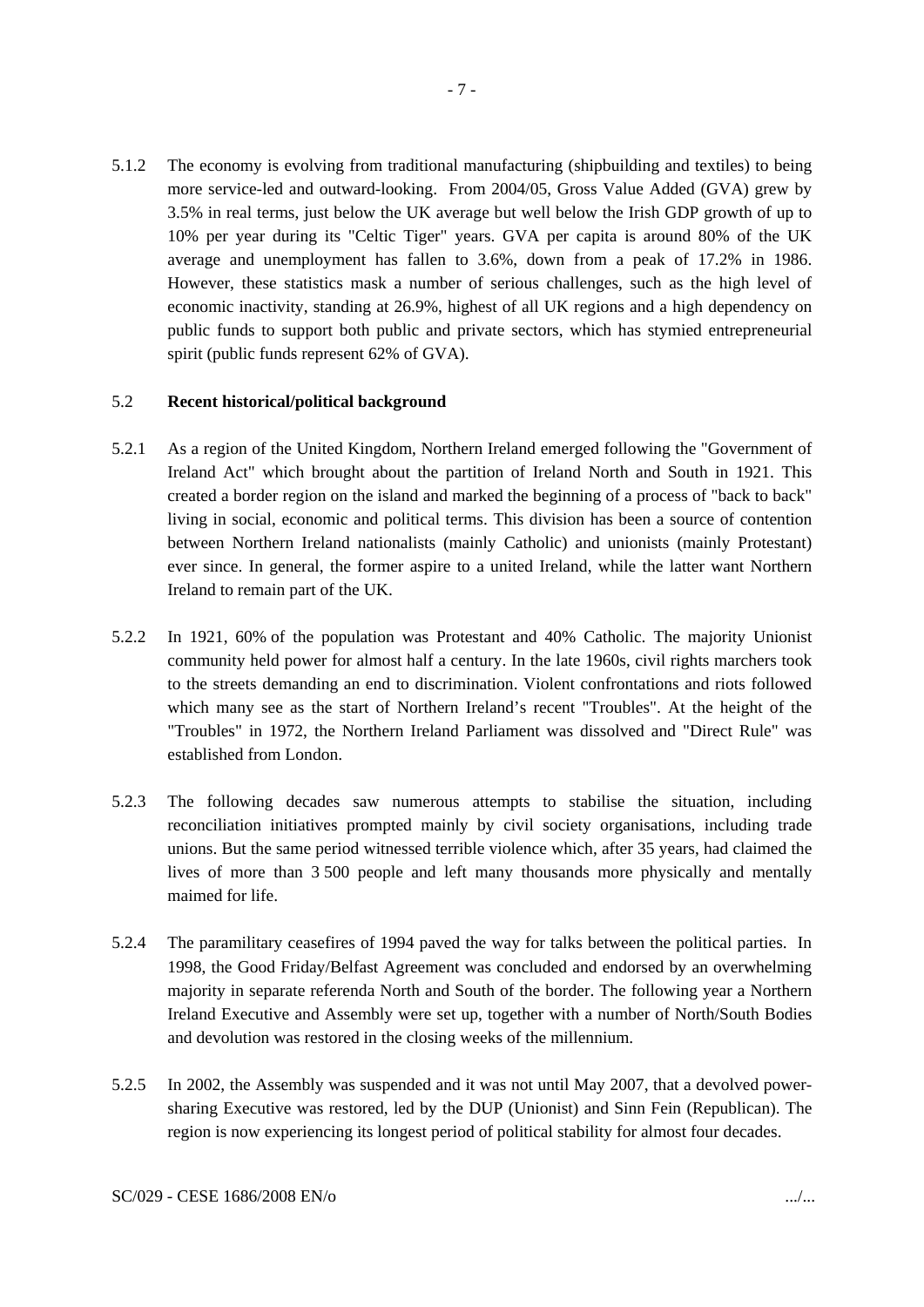5.1.2 The economy is evolving from traditional manufacturing (shipbuilding and textiles) to being more service-led and outward-looking. From 2004/05, Gross Value Added (GVA) grew by 3.5% in real terms, just below the UK average but well below the Irish GDP growth of up to 10% per year during its "Celtic Tiger" years. GVA per capita is around 80% of the UK average and unemployment has fallen to 3.6%, down from a peak of 17.2% in 1986. However, these statistics mask a number of serious challenges, such as the high level of economic inactivity, standing at 26.9%, highest of all UK regions and a high dependency on public funds to support both public and private sectors, which has stymied entrepreneurial spirit (public funds represent 62% of GVA).

#### 5.2 **Recent historical/political background**

- 5.2.1 As a region of the United Kingdom, Northern Ireland emerged following the "Government of Ireland Act" which brought about the partition of Ireland North and South in 1921. This created a border region on the island and marked the beginning of a process of "back to back" living in social, economic and political terms. This division has been a source of contention between Northern Ireland nationalists (mainly Catholic) and unionists (mainly Protestant) ever since. In general, the former aspire to a united Ireland, while the latter want Northern Ireland to remain part of the UK.
- 5.2.2 In 1921, 60% of the population was Protestant and 40% Catholic. The majority Unionist community held power for almost half a century. In the late 1960s, civil rights marchers took to the streets demanding an end to discrimination. Violent confrontations and riots followed which many see as the start of Northern Ireland's recent "Troubles". At the height of the "Troubles" in 1972, the Northern Ireland Parliament was dissolved and "Direct Rule" was established from London.
- 5.2.3 The following decades saw numerous attempts to stabilise the situation, including reconciliation initiatives prompted mainly by civil society organisations, including trade unions. But the same period witnessed terrible violence which, after 35 years, had claimed the lives of more than 3 500 people and left many thousands more physically and mentally maimed for life.
- 5.2.4 The paramilitary ceasefires of 1994 paved the way for talks between the political parties. In 1998, the Good Friday/Belfast Agreement was concluded and endorsed by an overwhelming majority in separate referenda North and South of the border. The following year a Northern Ireland Executive and Assembly were set up, together with a number of North/South Bodies and devolution was restored in the closing weeks of the millennium.
- 5.2.5 In 2002, the Assembly was suspended and it was not until May 2007, that a devolved powersharing Executive was restored, led by the DUP (Unionist) and Sinn Fein (Republican). The region is now experiencing its longest period of political stability for almost four decades.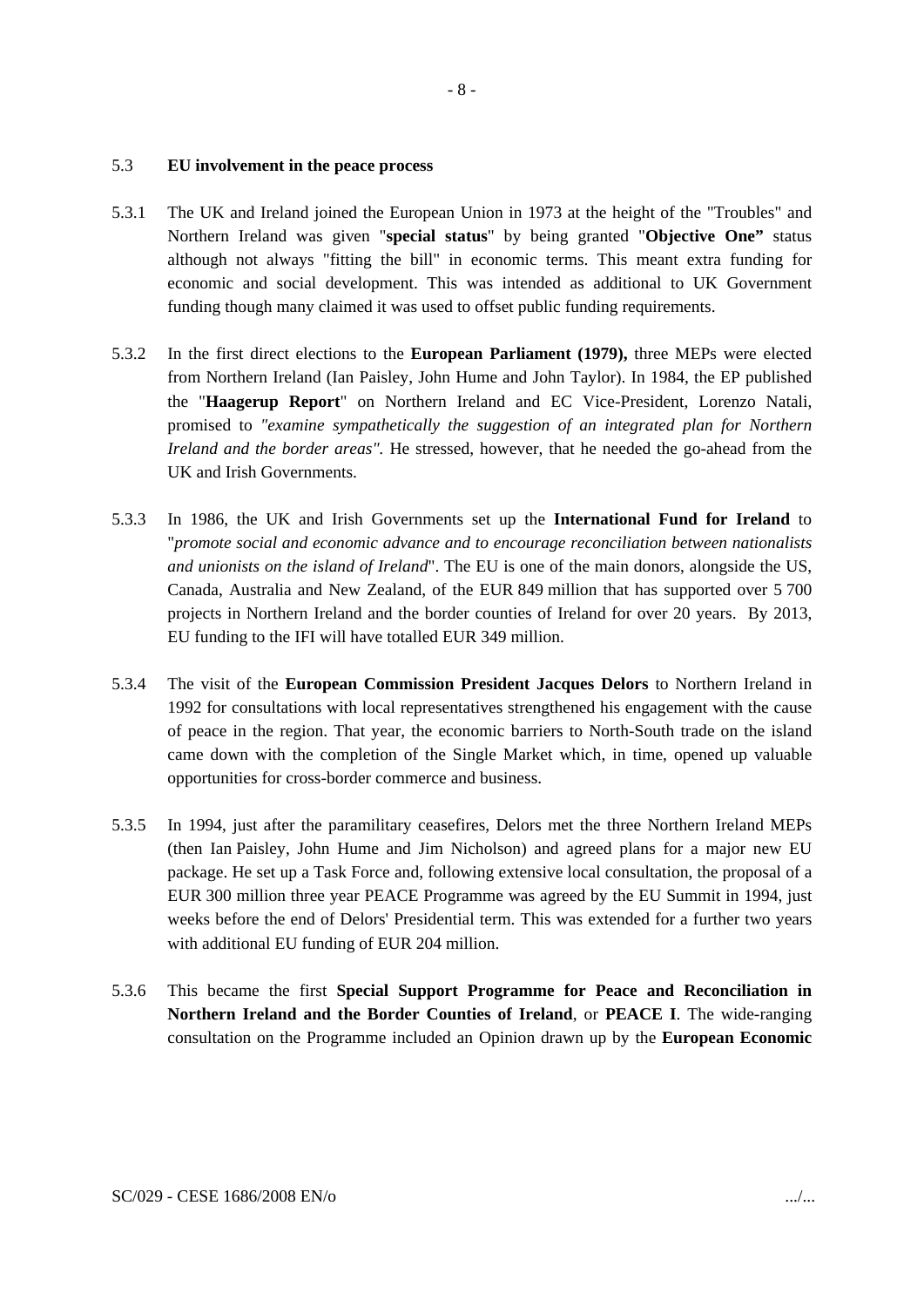### 5.3 **EU involvement in the peace process**

5.3.1 The UK and Ireland joined the European Union in 1973 at the height of the "Troubles" and Northern Ireland was given "**special status**" by being granted "**Objective One"** status although not always "fitting the bill" in economic terms. This meant extra funding for economic and social development. This was intended as additional to UK Government funding though many claimed it was used to offset public funding requirements.

- 8 -

- 5.3.2 In the first direct elections to the **European Parliament (1979),** three MEPs were elected from Northern Ireland (Ian Paisley, John Hume and John Taylor). In 1984, the EP published the "**Haagerup Report**" on Northern Ireland and EC Vice-President, Lorenzo Natali, promised to *"examine sympathetically the suggestion of an integrated plan for Northern Ireland and the border areas".* He stressed, however, that he needed the go-ahead from the UK and Irish Governments.
- 5.3.3 In 1986, the UK and Irish Governments set up the **International Fund for Ireland** to "*promote social and economic advance and to encourage reconciliation between nationalists and unionists on the island of Ireland*". The EU is one of the main donors, alongside the US, Canada, Australia and New Zealand, of the EUR 849 million that has supported over 5 700 projects in Northern Ireland and the border counties of Ireland for over 20 years. By 2013, EU funding to the IFI will have totalled EUR 349 million.
- 5.3.4 The visit of the **European Commission President Jacques Delors** to Northern Ireland in 1992 for consultations with local representatives strengthened his engagement with the cause of peace in the region. That year, the economic barriers to North-South trade on the island came down with the completion of the Single Market which, in time, opened up valuable opportunities for cross-border commerce and business.
- 5.3.5 In 1994, just after the paramilitary ceasefires, Delors met the three Northern Ireland MEPs (then Ian Paisley, John Hume and Jim Nicholson) and agreed plans for a major new EU package. He set up a Task Force and, following extensive local consultation, the proposal of a EUR 300 million three year PEACE Programme was agreed by the EU Summit in 1994, just weeks before the end of Delors' Presidential term. This was extended for a further two years with additional EU funding of EUR 204 million.
- 5.3.6 This became the first **Special Support Programme for Peace and Reconciliation in Northern Ireland and the Border Counties of Ireland**, or **PEACE I**. The wide-ranging consultation on the Programme included an Opinion drawn up by the **European Economic**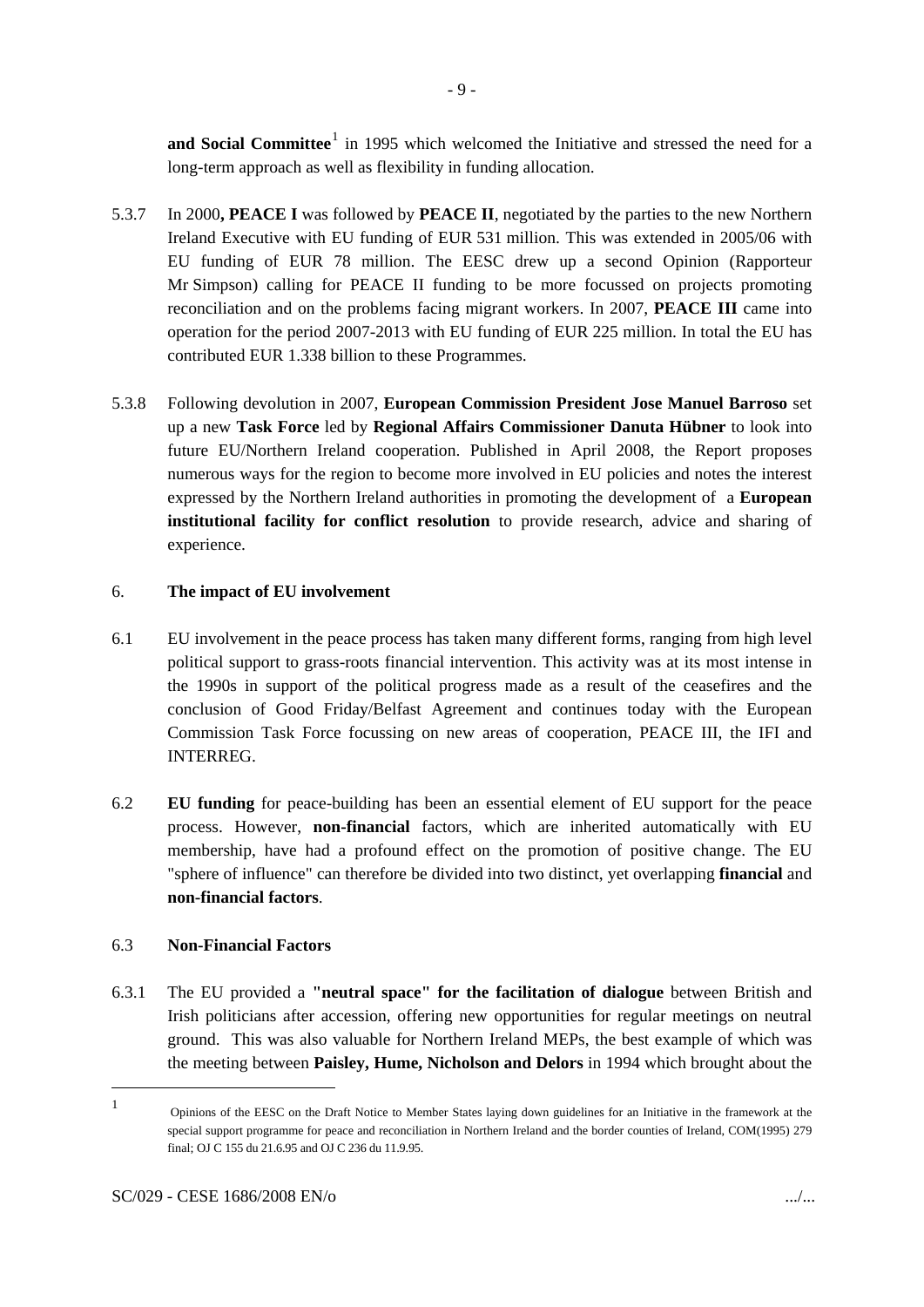and Social Committee<sup>[1](#page-9-0)</sup> in 1995 which welcomed the Initiative and stressed the need for a long-term approach as well as flexibility in funding allocation.

- 5.3.7 In 2000**, PEACE I** was followed by **PEACE II**, negotiated by the parties to the new Northern Ireland Executive with EU funding of EUR 531 million. This was extended in 2005/06 with EU funding of EUR 78 million. The EESC drew up a second Opinion (Rapporteur Mr Simpson) calling for PEACE II funding to be more focussed on projects promoting reconciliation and on the problems facing migrant workers. In 2007, **PEACE III** came into operation for the period 2007-2013 with EU funding of EUR 225 million. In total the EU has contributed EUR 1.338 billion to these Programmes.
- 5.3.8 Following devolution in 2007, **European Commission President Jose Manuel Barroso** set up a new **Task Force** led by **Regional Affairs Commissioner Danuta Hübner** to look into future EU/Northern Ireland cooperation. Published in April 2008, the Report proposes numerous ways for the region to become more involved in EU policies and notes the interest expressed by the Northern Ireland authorities in promoting the development of a **European institutional facility for conflict resolution** to provide research, advice and sharing of experience.

## 6. **The impact of EU involvement**

- 6.1 EU involvement in the peace process has taken many different forms, ranging from high level political support to grass-roots financial intervention. This activity was at its most intense in the 1990s in support of the political progress made as a result of the ceasefires and the conclusion of Good Friday/Belfast Agreement and continues today with the European Commission Task Force focussing on new areas of cooperation, PEACE III, the IFI and INTERREG.
- 6.2 **EU funding** for peace-building has been an essential element of EU support for the peace process. However, **non-financial** factors, which are inherited automatically with EU membership, have had a profound effect on the promotion of positive change. The EU "sphere of influence" can therefore be divided into two distinct, yet overlapping **financial** and **non-financial factors**.

## 6.3 **Non-Financial Factors**

6.3.1 The EU provided a **"neutral space" for the facilitation of dialogue** between British and Irish politicians after accession, offering new opportunities for regular meetings on neutral ground. This was also valuable for Northern Ireland MEPs, the best example of which was the meeting between **Paisley, Hume, Nicholson and Delors** in 1994 which brought about the

-

<span id="page-9-0"></span><sup>1</sup> Opinions of the EESC on the Draft Notice to Member States laying down guidelines for an Initiative in the framework at the special support programme for peace and reconciliation in Northern Ireland and the border counties of Ireland, COM(1995) 279 final; OJ C 155 du 21.6.95 and OJ C 236 du 11.9.95.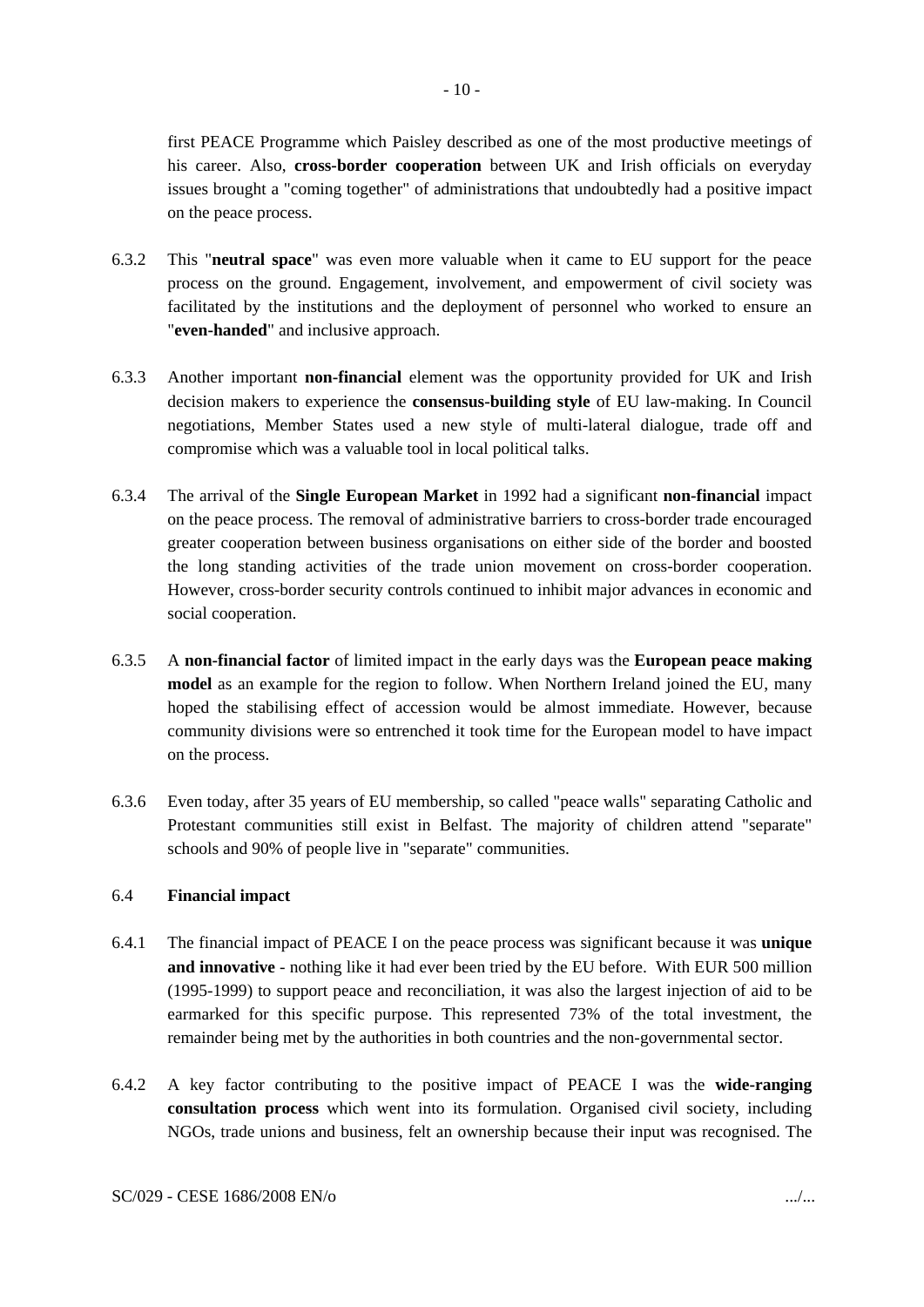first PEACE Programme which Paisley described as one of the most productive meetings of his career. Also, **cross-border cooperation** between UK and Irish officials on everyday issues brought a "coming together" of administrations that undoubtedly had a positive impact on the peace process.

- 6.3.2 This "**neutral space**" was even more valuable when it came to EU support for the peace process on the ground. Engagement, involvement, and empowerment of civil society was facilitated by the institutions and the deployment of personnel who worked to ensure an "**even-handed**" and inclusive approach.
- 6.3.3 Another important **non-financial** element was the opportunity provided for UK and Irish decision makers to experience the **consensus-building style** of EU law-making. In Council negotiations, Member States used a new style of multi-lateral dialogue, trade off and compromise which was a valuable tool in local political talks.
- 6.3.4 The arrival of the **Single European Market** in 1992 had a significant **non-financial** impact on the peace process. The removal of administrative barriers to cross-border trade encouraged greater cooperation between business organisations on either side of the border and boosted the long standing activities of the trade union movement on cross-border cooperation. However, cross-border security controls continued to inhibit major advances in economic and social cooperation.
- 6.3.5 A **non-financial factor** of limited impact in the early days was the **European peace making model** as an example for the region to follow. When Northern Ireland joined the EU, many hoped the stabilising effect of accession would be almost immediate. However, because community divisions were so entrenched it took time for the European model to have impact on the process.
- 6.3.6 Even today, after 35 years of EU membership, so called "peace walls" separating Catholic and Protestant communities still exist in Belfast. The majority of children attend "separate" schools and 90% of people live in "separate" communities.

## 6.4 **Financial impact**

- 6.4.1 The financial impact of PEACE I on the peace process was significant because it was **unique and innovative** - nothing like it had ever been tried by the EU before. With EUR 500 million (1995-1999) to support peace and reconciliation, it was also the largest injection of aid to be earmarked for this specific purpose. This represented 73% of the total investment, the remainder being met by the authorities in both countries and the non-governmental sector.
- 6.4.2 A key factor contributing to the positive impact of PEACE I was the **wide-ranging consultation process** which went into its formulation. Organised civil society, including NGOs, trade unions and business, felt an ownership because their input was recognised. The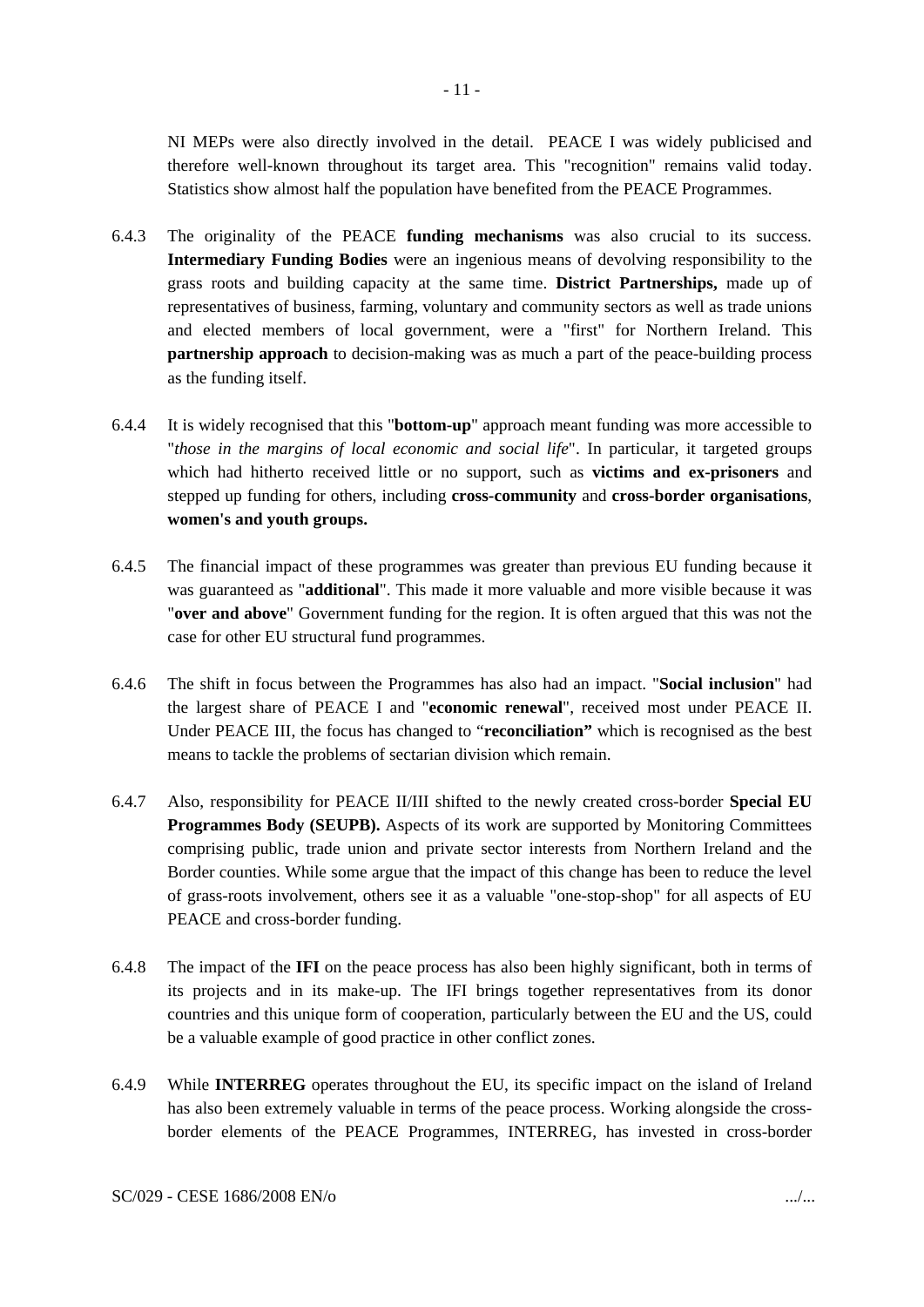NI MEPs were also directly involved in the detail. PEACE I was widely publicised and therefore well-known throughout its target area. This "recognition" remains valid today.

- 6.4.3 The originality of the PEACE **funding mechanisms** was also crucial to its success. **Intermediary Funding Bodies** were an ingenious means of devolving responsibility to the grass roots and building capacity at the same time. **District Partnerships,** made up of representatives of business, farming, voluntary and community sectors as well as trade unions and elected members of local government, were a "first" for Northern Ireland. This **partnership approach** to decision-making was as much a part of the peace-building process as the funding itself.
- 6.4.4 It is widely recognised that this "**bottom-up**" approach meant funding was more accessible to "*those in the margins of local economic and social life*". In particular, it targeted groups which had hitherto received little or no support, such as **victims and ex-prisoners** and stepped up funding for others, including **cross-community** and **cross-border organisations**, **women's and youth groups.**
- 6.4.5 The financial impact of these programmes was greater than previous EU funding because it was guaranteed as "**additional**". This made it more valuable and more visible because it was "**over and above**" Government funding for the region. It is often argued that this was not the case for other EU structural fund programmes.
- 6.4.6 The shift in focus between the Programmes has also had an impact. "**Social inclusion**" had the largest share of PEACE I and "**economic renewal**", received most under PEACE II. Under PEACE III, the focus has changed to "**reconciliation"** which is recognised as the best means to tackle the problems of sectarian division which remain.
- 6.4.7 Also, responsibility for PEACE II/III shifted to the newly created cross-border **Special EU Programmes Body (SEUPB).** Aspects of its work are supported by Monitoring Committees comprising public, trade union and private sector interests from Northern Ireland and the Border counties. While some argue that the impact of this change has been to reduce the level of grass-roots involvement, others see it as a valuable "one-stop-shop" for all aspects of EU PEACE and cross-border funding.
- 6.4.8 The impact of the **IFI** on the peace process has also been highly significant, both in terms of its projects and in its make-up. The IFI brings together representatives from its donor countries and this unique form of cooperation, particularly between the EU and the US, could be a valuable example of good practice in other conflict zones.
- 6.4.9 While **INTERREG** operates throughout the EU, its specific impact on the island of Ireland has also been extremely valuable in terms of the peace process. Working alongside the crossborder elements of the PEACE Programmes, INTERREG, has invested in cross-border

Statistics show almost half the population have benefited from the PEACE Programmes.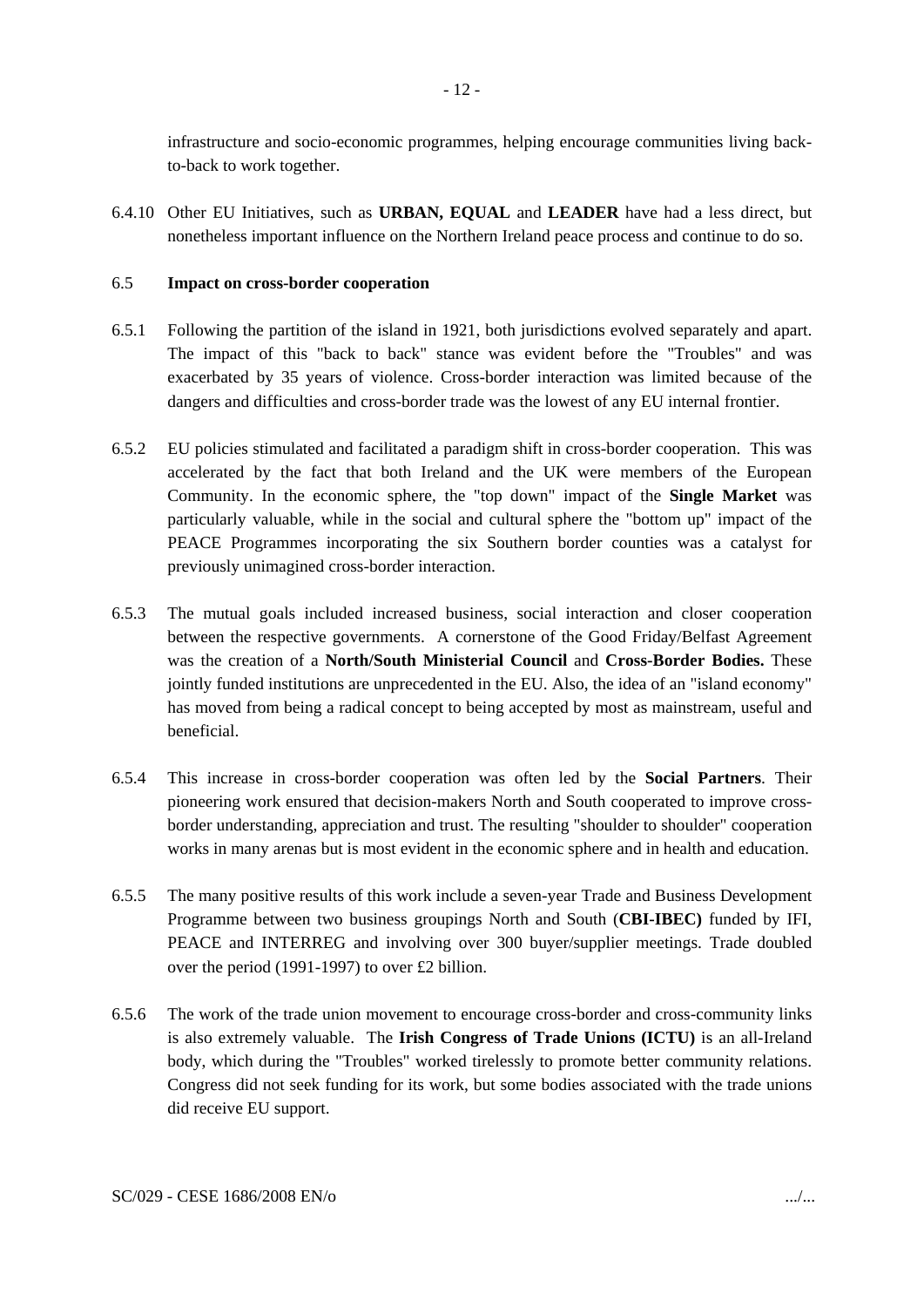infrastructure and socio-economic programmes, helping encourage communities living backto-back to work together.

6.4.10 Other EU Initiatives, such as **URBAN, EQUAL** and **LEADER** have had a less direct, but nonetheless important influence on the Northern Ireland peace process and continue to do so.

### 6.5 **Impact on cross-border cooperation**

- 6.5.1 Following the partition of the island in 1921, both jurisdictions evolved separately and apart. The impact of this "back to back" stance was evident before the "Troubles" and was exacerbated by 35 years of violence. Cross-border interaction was limited because of the dangers and difficulties and cross-border trade was the lowest of any EU internal frontier.
- 6.5.2 EU policies stimulated and facilitated a paradigm shift in cross-border cooperation. This was accelerated by the fact that both Ireland and the UK were members of the European Community. In the economic sphere, the "top down" impact of the **Single Market** was particularly valuable, while in the social and cultural sphere the "bottom up" impact of the PEACE Programmes incorporating the six Southern border counties was a catalyst for previously unimagined cross-border interaction.
- 6.5.3 The mutual goals included increased business, social interaction and closer cooperation between the respective governments. A cornerstone of the Good Friday/Belfast Agreement was the creation of a **North/South Ministerial Council** and **Cross-Border Bodies.** These jointly funded institutions are unprecedented in the EU. Also, the idea of an "island economy" has moved from being a radical concept to being accepted by most as mainstream, useful and beneficial.
- 6.5.4 This increase in cross-border cooperation was often led by the **Social Partners**. Their pioneering work ensured that decision-makers North and South cooperated to improve crossborder understanding, appreciation and trust. The resulting "shoulder to shoulder" cooperation works in many arenas but is most evident in the economic sphere and in health and education.
- 6.5.5 The many positive results of this work include a seven-year Trade and Business Development Programme between two business groupings North and South (**CBI-IBEC)** funded by IFI, PEACE and INTERREG and involving over 300 buyer/supplier meetings. Trade doubled over the period (1991-1997) to over £2 billion.
- 6.5.6 The work of the trade union movement to encourage cross-border and cross-community links is also extremely valuable. The **Irish Congress of Trade Unions (ICTU)** is an all-Ireland body, which during the "Troubles" worked tirelessly to promote better community relations. Congress did not seek funding for its work, but some bodies associated with the trade unions did receive EU support.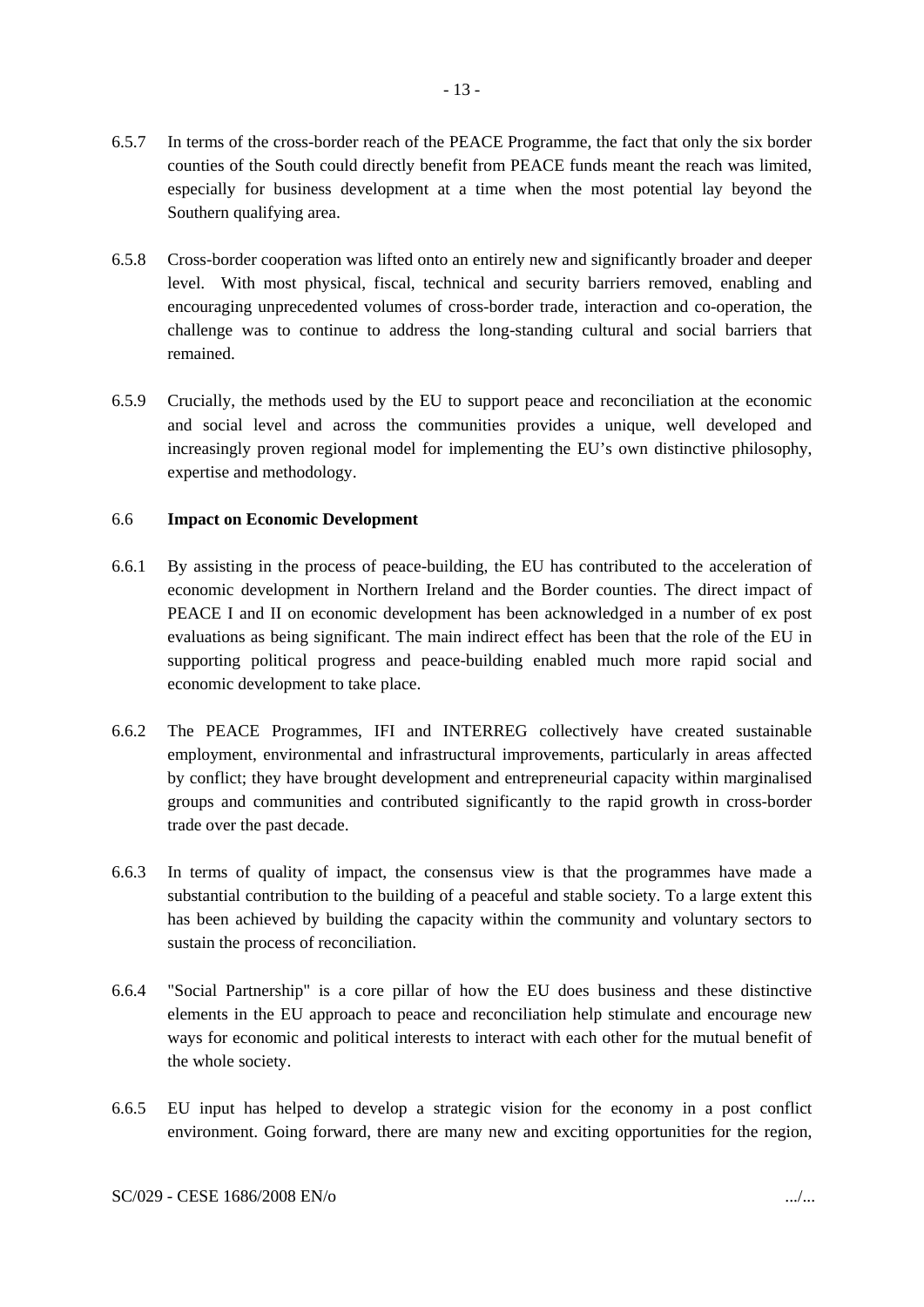- 6.5.7 In terms of the cross-border reach of the PEACE Programme, the fact that only the six border counties of the South could directly benefit from PEACE funds meant the reach was limited, especially for business development at a time when the most potential lay beyond the Southern qualifying area.
- 6.5.8 Cross-border cooperation was lifted onto an entirely new and significantly broader and deeper level. With most physical, fiscal, technical and security barriers removed, enabling and encouraging unprecedented volumes of cross-border trade, interaction and co-operation, the challenge was to continue to address the long-standing cultural and social barriers that remained.
- 6.5.9 Crucially, the methods used by the EU to support peace and reconciliation at the economic and social level and across the communities provides a unique, well developed and increasingly proven regional model for implementing the EU's own distinctive philosophy, expertise and methodology.

### 6.6 **Impact on Economic Development**

- 6.6.1 By assisting in the process of peace-building, the EU has contributed to the acceleration of economic development in Northern Ireland and the Border counties. The direct impact of PEACE I and II on economic development has been acknowledged in a number of ex post evaluations as being significant. The main indirect effect has been that the role of the EU in supporting political progress and peace-building enabled much more rapid social and economic development to take place.
- 6.6.2 The PEACE Programmes, IFI and INTERREG collectively have created sustainable employment, environmental and infrastructural improvements, particularly in areas affected by conflict; they have brought development and entrepreneurial capacity within marginalised groups and communities and contributed significantly to the rapid growth in cross-border trade over the past decade.
- 6.6.3 In terms of quality of impact, the consensus view is that the programmes have made a substantial contribution to the building of a peaceful and stable society. To a large extent this has been achieved by building the capacity within the community and voluntary sectors to sustain the process of reconciliation.
- 6.6.4 "Social Partnership" is a core pillar of how the EU does business and these distinctive elements in the EU approach to peace and reconciliation help stimulate and encourage new ways for economic and political interests to interact with each other for the mutual benefit of the whole society.
- 6.6.5 EU input has helped to develop a strategic vision for the economy in a post conflict environment. Going forward, there are many new and exciting opportunities for the region,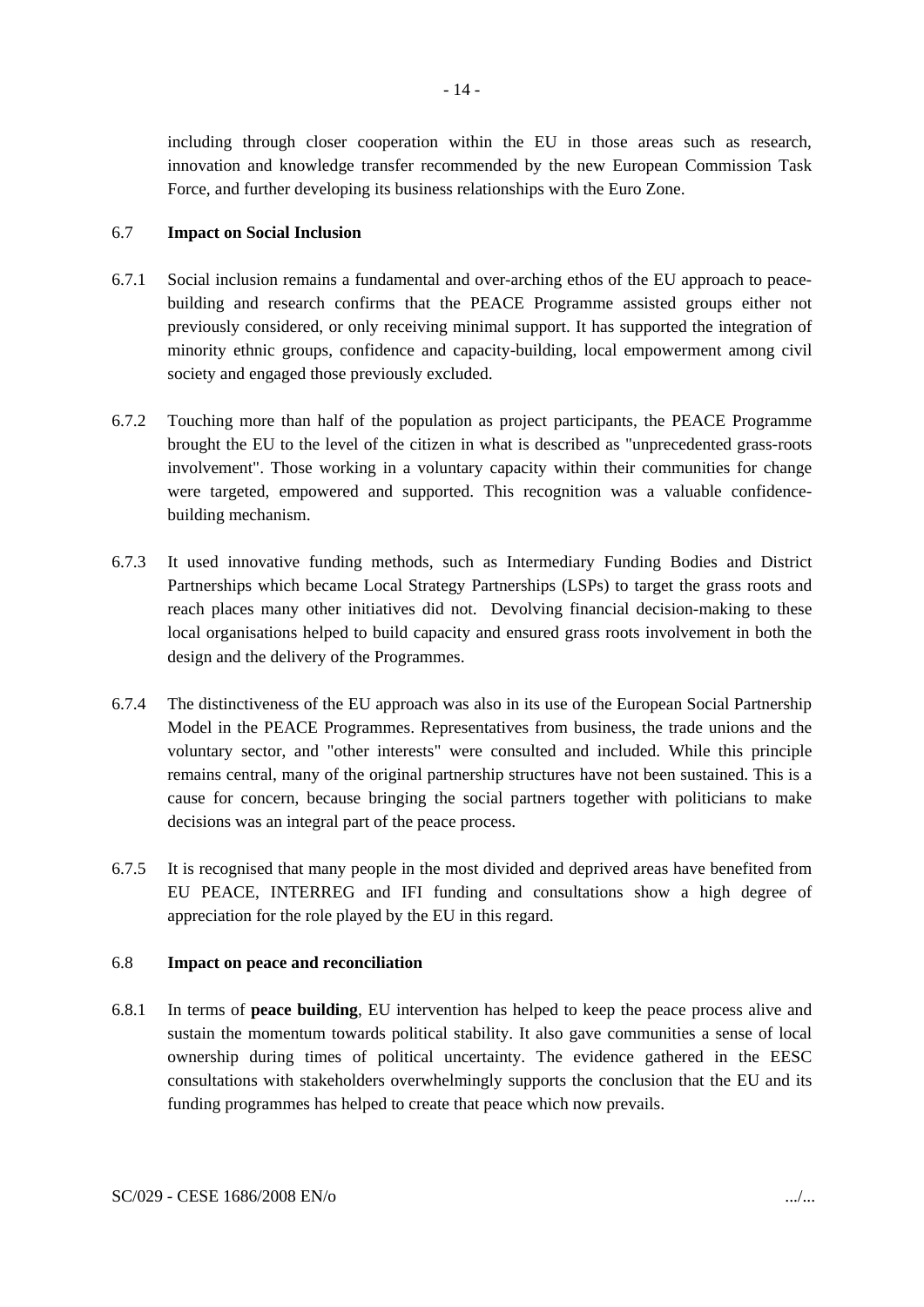- 14 -

including through closer cooperation within the EU in those areas such as research, innovation and knowledge transfer recommended by the new European Commission Task Force, and further developing its business relationships with the Euro Zone.

## 6.7 **Impact on Social Inclusion**

- 6.7.1 Social inclusion remains a fundamental and over-arching ethos of the EU approach to peacebuilding and research confirms that the PEACE Programme assisted groups either not previously considered, or only receiving minimal support. It has supported the integration of minority ethnic groups, confidence and capacity-building, local empowerment among civil society and engaged those previously excluded.
- 6.7.2 Touching more than half of the population as project participants, the PEACE Programme brought the EU to the level of the citizen in what is described as "unprecedented grass-roots involvement". Those working in a voluntary capacity within their communities for change were targeted, empowered and supported. This recognition was a valuable confidencebuilding mechanism.
- 6.7.3 It used innovative funding methods, such as Intermediary Funding Bodies and District Partnerships which became Local Strategy Partnerships (LSPs) to target the grass roots and reach places many other initiatives did not. Devolving financial decision-making to these local organisations helped to build capacity and ensured grass roots involvement in both the design and the delivery of the Programmes.
- 6.7.4 The distinctiveness of the EU approach was also in its use of the European Social Partnership Model in the PEACE Programmes. Representatives from business, the trade unions and the voluntary sector, and "other interests" were consulted and included. While this principle remains central, many of the original partnership structures have not been sustained. This is a cause for concern, because bringing the social partners together with politicians to make decisions was an integral part of the peace process.
- 6.7.5 It is recognised that many people in the most divided and deprived areas have benefited from EU PEACE, INTERREG and IFI funding and consultations show a high degree of appreciation for the role played by the EU in this regard.

### 6.8 **Impact on peace and reconciliation**

6.8.1 In terms of **peace building**, EU intervention has helped to keep the peace process alive and sustain the momentum towards political stability. It also gave communities a sense of local ownership during times of political uncertainty. The evidence gathered in the EESC consultations with stakeholders overwhelmingly supports the conclusion that the EU and its funding programmes has helped to create that peace which now prevails.